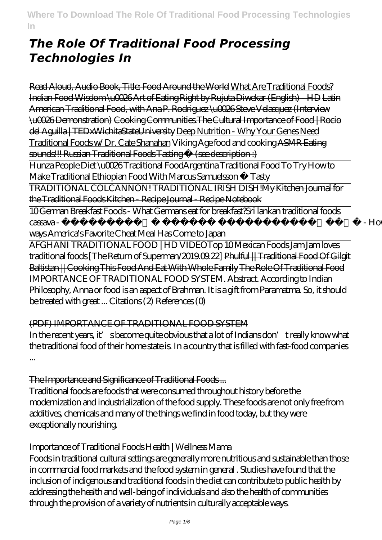# *The Role Of Traditional Food Processing Technologies In*

Read Aloud, Audio Book, Title: Food Around the World What Are Traditional Foods? Indian Food Wisdom \u0026 Art of Eating Right by Rujuta Diwekar (English) - HD Latin American Traditional Food, with Ana P. Rodriguez \u0026 Steve Velasquez (Interview \u0026 Demonstration) Cooking Communities.The Cultural Importance of Food | Rocio del Aguilla | TEDxWichitaStateUniversity Deep Nutrition - Why Your Genes Need Traditional Foods w/ Dr. Cate Shanahan *Viking Age food and cooking* ASMR Eating sounds!!! Russian Traditional Foods Tasting (see description :)

Hunza People Diet \u0026 Traditional FoodArgentina Traditional Food To Try *How to Make Traditional Ethiopian Food With Marcus Samuelsson • Tasty*

TRADITIONAL COLCANNON! TRADITIONAL IRISH DISH!My Kitchen Journal for the Traditional Foods Kitchen - Recipe Journal - Recipe Notebook

10 German Breakfast Foods - What Germans eat for breakfast?*Sri lankan traditional foods cassava - පිළිකා නසන මඤ්ඤොක්කා - How to make cassava in different*

*ways* America's Favorite Cheat Meal Has Come to Japan

AFGHANI TRADITIONAL FOOD | HD VIDEO*Top 10 Mexican Foods Jam Jam loves traditional foods [The Return of Superman/2019.09.22]* Phulful || Traditional Food Of Gilgit Baltistan || Cooking This Food And Eat With Whole Family The Role Of Traditional Food IMPORTANCE OF TRADITIONAL FOOD SYSTEM. Abstract. According to Indian Philosophy, Anna or food is an aspect of Brahman. It is a gift from Paramatma. So, it should be treated with great ... Citations (2) References (0)

# (PDF) IMPORTANCE OF TRADITIONAL FOOD SYSTEM

In the recent years, it' sbecome quite obvious that a lot of Indians don't really know what the traditional food of their home state is. In a country that is filled with fast-food companies ...

#### The Importance and Significance of Traditional Foods ...

Traditional foods are foods that were consumed throughout history before the modernization and industrialization of the food supply. These foods are not only free from additives, chemicals and many of the things we find in food today, but they were exceptionally nourishing.

#### Importance of Traditional Foods Health | Wellness Mama

Foods in traditional cultural settings are generally more nutritious and sustainable than those in commercial food markets and the food system in general . Studies have found that the inclusion of indigenous and traditional foods in the diet can contribute to public health by addressing the health and well-being of individuals and also the health of communities through the provision of a variety of nutrients in culturally acceptable ways.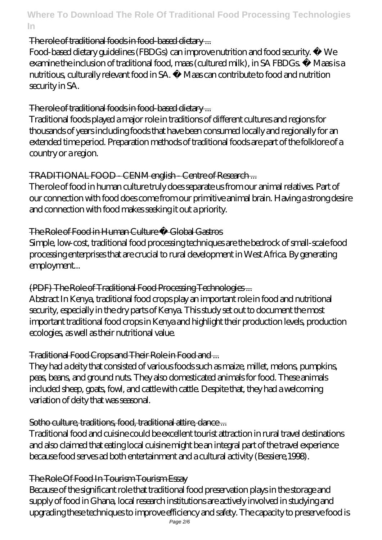#### The role of traditional foods in food-based dietary ...

Food-based dietary guidelines (FBDGs) can improve nutrition and food security. • We examine the inclusion of traditional food, maas (cultured milk), in SA FBDGs • Maas is a nutritious, culturally relevant food in SA. • Maas can contribute to food and nutrition security in SA.

### The role of traditional foods in food-based dietary ...

Traditional foods played a major role in traditions of different cultures and regions for thousands of years including foods that have been consumed locally and regionally for an extended time period. Preparation methods of traditional foods are part of the folklore of a country or a region.

### TRADITIONAL FOOD - CENM english - Centre of Research ...

The role of food in human culture truly does separate us from our animal relatives. Part of our connection with food does come from our primitive animal brain. Having a strong desire and connection with food makes seeking it out a priority.

#### The Role of Food in Human Culture · Global Gastros

Simple, low-cost, traditional food processing techniques are the bedrock of small-scale food processing enterprises that are crucial to rural development in West Africa. By generating employment...

#### (PDF) The Role of Traditional Food Processing Technologies ...

Abstract In Kenya, traditional food crops play an important role in food and nutritional security, especially in the dry parts of Kenya. This study set out to document the most important traditional food crops in Kenya and highlight their production levels, production ecologies, as well as their nutritional value.

#### Traditional Food Crops and Their Role in Food and ...

They had a deity that consisted of various foods such as maize, millet, melons, pumpkins, peas, beans, and ground nuts. They also domesticated animals for food. These animals included sheep, goats, fowl, and cattle with cattle. Despite that, they had a welcoming variation of deity that was seasonal.

#### Sotho culture, traditions, food, traditional attire, dance...

Traditional food and cuisine could be excellent tourist attraction in rural travel destinations and also claimed that eating local cuisine might be an integral part of the travel experience because food serves ad both entertainment and a cultural activity (Bessiere,1998).

#### The Role Of Food In Tourism Tourism Essay

Because of the significant role that traditional food preservation plays in the storage and supply of food in Ghana, local research institutions are actively involved in studying and upgrading these techniques to improve efficiency and safety. The capacity to preserve food is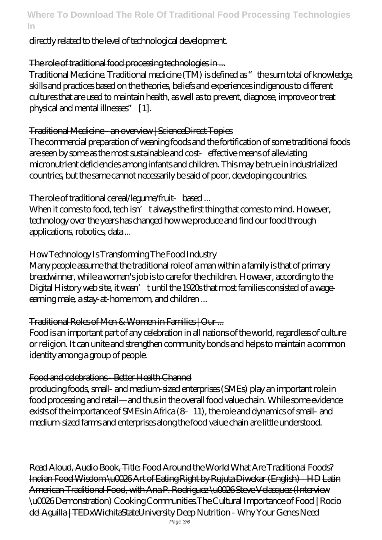### directly related to the level of technological development.

### The role of traditional food processing technologies in ...

Traditional Medicine. Traditional medicine (TM) is defined as "the sum total of knowledge, skills and practices based on the theories, beliefs and experiences indigenous to different cultures that are used to maintain health, as well as to prevent, diagnose, improve or treat physical and mental illnesses" [1].

#### Traditional Medicine - an overview | ScienceDirect Topics

The commercial preparation of weaning foods and the fortification of some traditional foods are seen by some as the most sustainable and cost effective means of alleviating micronutrient deficiencies among infants and children. This may be true in industrialized countries, but the same cannot necessarily be said of poor, developing countries.

#### The role of traditional cereal *Aegume* fruit based ...

When it comes to food, tech isn' t always the first thing that comes to mind. However, technology over the years has changed how we produce and find our food through applications, robotics, data ...

#### How Technology Is Transforming The Food Industry

Many people assume that the traditional role of a man within a family is that of primary breadwinner, while a woman's job is to care for the children. However, according to the Digital History web site, it wasn't until the 1920s that most families consisted of a wageearning male, a stay-at-home mom, and children ...

#### Traditional Roles of Men & Women in Families | Our ...

Food is an important part of any celebration in all nations of the world, regardless of culture or religion. It can unite and strengthen community bonds and helps to maintain a common identity among a group of people.

#### Food and celebrations - Better Health Channel

producing foods, small- and medium-sized enterprises (SMEs) play an important role in food processing and retail—and thus in the overall food value chain. While some evidence exists of the importance of SMEs in Africa (8–11), the role and dynamics of small- and medium-sized farms and enterprises along the food value chain are little understood.

Read Aloud, Audio Book, Title: Food Around the World What Are Traditional Foods? Indian Food Wisdom \u0026 Art of Eating Right by Rujuta Diwekar (English) - HD Latin American Traditional Food, with Ana P. Rodriguez \u0026 Steve Velasquez (Interview \u0026 Demonstration) Cooking Communities.The Cultural Importance of Food | Rocio del Aguilla | TEDxWichitaStateUniversity Deep Nutrition - Why Your Genes Need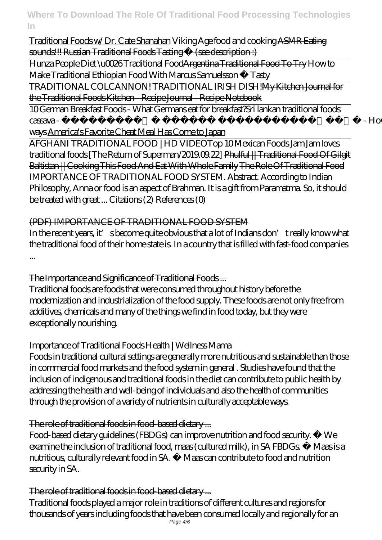Traditional Foods w/ Dr. Cate Shanahan *Viking Age food and cooking* ASMR Eating sounds!!! Russian Traditional Foods Tasting (see description :)

Hunza People Diet \u0026 Traditional FoodArgentina Traditional Food To Try *How to Make Traditional Ethiopian Food With Marcus Samuelsson • Tasty*

TRADITIONAL COLCANNON! TRADITIONAL IRISH DISH!My Kitchen Journal for the Traditional Foods Kitchen - Recipe Journal - Recipe Notebook

10 German Breakfast Foods - What Germans eat for breakfast?*Sri lankan traditional foods cassava - පිළිකා නසන මඤ්ඤොක්කා - How to make cassava in different*

*ways* America's Favorite Cheat Meal Has Come to Japan

AFGHANI TRADITIONAL FOOD | HD VIDEO*Top 10 Mexican Foods Jam Jam loves traditional foods [The Return of Superman/2019.09.22]* Phulful || Traditional Food Of Gilgit Baltistan || Cooking This Food And Eat With Whole Family The Role Of Traditional Food IMPORTANCE OF TRADITIONAL FOOD SYSTEM. Abstract. According to Indian Philosophy, Anna or food is an aspect of Brahman. It is a gift from Paramatma. So, it should be treated with great ... Citations (2) References (0)

# (PDF) IMPORTANCE OF TRADITIONAL FOOD SYSTEM

In the recent years, it' sbecome quite obvious that a lot of Indians don't really know what the traditional food of their home state is. In a country that is filled with fast-food companies ...

# The Importance and Significance of Traditional Foods ...

Traditional foods are foods that were consumed throughout history before the modernization and industrialization of the food supply. These foods are not only free from additives, chemicals and many of the things we find in food today, but they were exceptionally nourishing.

# Importance of Traditional Foods Health | Wellness Mama

Foods in traditional cultural settings are generally more nutritious and sustainable than those in commercial food markets and the food system in general . Studies have found that the inclusion of indigenous and traditional foods in the diet can contribute to public health by addressing the health and well-being of individuals and also the health of communities through the provision of a variety of nutrients in culturally acceptable ways.

# The role of traditional foods in food-based dietary ...

Food-based dietary guidelines (FBDGs) can improve nutrition and food security. • We examine the inclusion of traditional food, maas (cultured milk), in SA FBDGs. • Maas is a nutritious, culturally relevant food in SA. • Maas can contribute to food and nutrition security in SA.

# The role of traditional foods in food-based dietary ...

Traditional foods played a major role in traditions of different cultures and regions for thousands of years including foods that have been consumed locally and regionally for an Page 4/6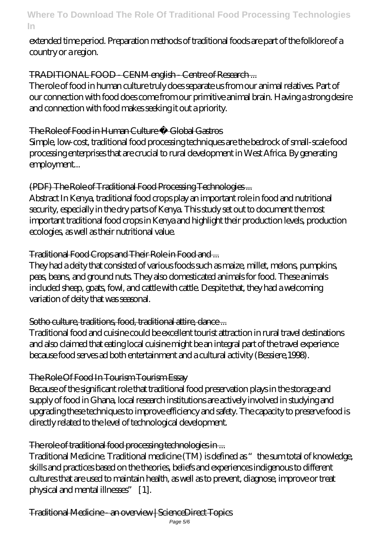#### extended time period. Preparation methods of traditional foods are part of the folklore of a country or a region.

# TRADITIONAL FOOD - CENM english - Centre of Research ...

The role of food in human culture truly does separate us from our animal relatives. Part of our connection with food does come from our primitive animal brain. Having a strong desire and connection with food makes seeking it out a priority.

### The Role of Food in Human Culture Global Gastros

Simple, low-cost, traditional food processing techniques are the bedrock of small-scale food processing enterprises that are crucial to rural development in West Africa. By generating employment...

### (PDF) The Role of Traditional Food Processing Technologies ...

Abstract In Kenya, traditional food crops play an important role in food and nutritional security, especially in the dry parts of Kenya. This study set out to document the most important traditional food crops in Kenya and highlight their production levels, production ecologies, as well as their nutritional value.

# Traditional Food Crops and Their Role in Food and ...

They had a deity that consisted of various foods such as maize, millet, melons, pumpkins, peas, beans, and ground nuts. They also domesticated animals for food. These animals included sheep, goats, fowl, and cattle with cattle. Despite that, they had a welcoming variation of deity that was seasonal.

# Sotho culture, traditions, food, traditional attire, dance ...

Traditional food and cuisine could be excellent tourist attraction in rural travel destinations and also claimed that eating local cuisine might be an integral part of the travel experience because food serves ad both entertainment and a cultural activity (Bessiere,1998).

# The Role Of Food In Tourism Tourism Essay

Because of the significant role that traditional food preservation plays in the storage and supply of food in Ghana, local research institutions are actively involved in studying and upgrading these techniques to improve efficiency and safety. The capacity to preserve food is directly related to the level of technological development.

#### The role of traditional food processing technologies in ...

Traditional Medicine. Traditional medicine (TM) is defined as "the sum total of knowledge, skills and practices based on the theories, beliefs and experiences indigenous to different cultures that are used to maintain health, as well as to prevent, diagnose, improve or treat physical and mental illnesses" [1].

Traditional Medicine - an overview | ScienceDirect Topics